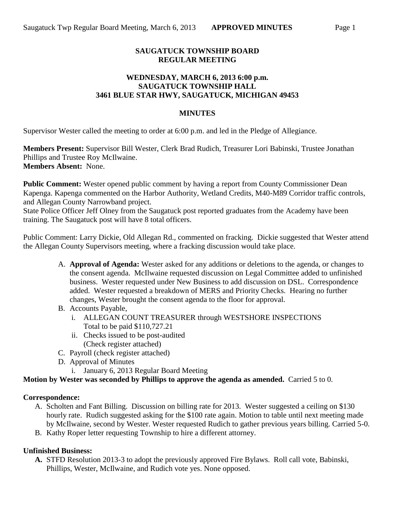## **SAUGATUCK TOWNSHIP BOARD REGULAR MEETING**

## **WEDNESDAY, MARCH 6, 2013 6:00 p.m. SAUGATUCK TOWNSHIP HALL 3461 BLUE STAR HWY, SAUGATUCK, MICHIGAN 49453**

### **MINUTES**

Supervisor Wester called the meeting to order at 6:00 p.m. and led in the Pledge of Allegiance.

**Members Present:** Supervisor Bill Wester, Clerk Brad Rudich, Treasurer Lori Babinski, Trustee Jonathan Phillips and Trustee Roy McIlwaine. **Members Absent:** None.

**Public Comment:** Wester opened public comment by having a report from County Commissioner Dean Kapenga. Kapenga commented on the Harbor Authority, Wetland Credits, M40-M89 Corridor traffic controls, and Allegan County Narrowband project.

State Police Officer Jeff Olney from the Saugatuck post reported graduates from the Academy have been training. The Saugatuck post will have 8 total officers.

Public Comment: Larry Dickie, Old Allegan Rd., commented on fracking. Dickie suggested that Wester attend the Allegan County Supervisors meeting, where a fracking discussion would take place.

- A. **Approval of Agenda:** Wester asked for any additions or deletions to the agenda, or changes to the consent agenda. McIlwaine requested discussion on Legal Committee added to unfinished business. Wester requested under New Business to add discussion on DSL. Correspondence added. Wester requested a breakdown of MERS and Priority Checks. Hearing no further changes, Wester brought the consent agenda to the floor for approval.
- B. Accounts Payable,
	- i. ALLEGAN COUNT TREASURER through WESTSHORE INSPECTIONS Total to be paid \$110,727.21
	- ii. Checks issued to be post-audited (Check register attached)
- C. Payroll (check register attached)
- D. Approval of Minutes
	- i. January 6, 2013 Regular Board Meeting

## **Motion by Wester was seconded by Phillips to approve the agenda as amended.** Carried 5 to 0.

#### **Correspondence:**

- A. Scholten and Fant Billing. Discussion on billing rate for 2013. Wester suggested a ceiling on \$130 hourly rate. Rudich suggested asking for the \$100 rate again. Motion to table until next meeting made by McIlwaine, second by Wester. Wester requested Rudich to gather previous years billing. Carried 5-0.
- B. Kathy Roper letter requesting Township to hire a different attorney.

## **Unfinished Business:**

**A.** STFD Resolution 2013-3 to adopt the previously approved Fire Bylaws. Roll call vote, Babinski, Phillips, Wester, McIlwaine, and Rudich vote yes. None opposed.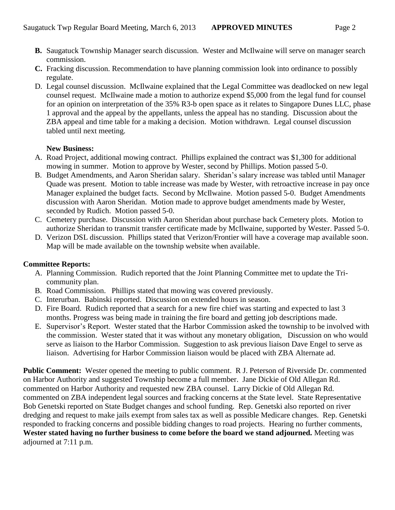- **B.** Saugatuck Township Manager search discussion. Wester and McIlwaine will serve on manager search commission.
- **C.** Fracking discussion. Recommendation to have planning commission look into ordinance to possibly regulate.
- D. Legal counsel discussion. McIlwaine explained that the Legal Committee was deadlocked on new legal counsel request. McIlwaine made a motion to authorize expend \$5,000 from the legal fund for counsel for an opinion on interpretation of the 35% R3-b open space as it relates to Singapore Dunes LLC, phase 1 approval and the appeal by the appellants, unless the appeal has no standing. Discussion about the ZBA appeal and time table for a making a decision. Motion withdrawn. Legal counsel discussion tabled until next meeting.

## **New Business:**

- A. Road Project, additional mowing contract. Phillips explained the contract was \$1,300 for additional mowing in summer. Motion to approve by Wester, second by Phillips. Motion passed 5-0.
- B. Budget Amendments, and Aaron Sheridan salary. Sheridan's salary increase was tabled until Manager Quade was present. Motion to table increase was made by Wester, with retroactive increase in pay once Manager explained the budget facts. Second by McIlwaine. Motion passed 5-0. Budget Amendments discussion with Aaron Sheridan. Motion made to approve budget amendments made by Wester, seconded by Rudich. Motion passed 5-0.
- C. Cemetery purchase. Discussion with Aaron Sheridan about purchase back Cemetery plots. Motion to authorize Sheridan to transmit transfer certificate made by McIlwaine, supported by Wester. Passed 5-0.
- D. Verizon DSL discussion. Phillips stated that Verizon/Frontier will have a coverage map available soon. Map will be made available on the township website when available.

# **Committee Reports:**

- A. Planning Commission. Rudich reported that the Joint Planning Committee met to update the Tricommunity plan.
- B. Road Commission. Phillips stated that mowing was covered previously.
- C. Interurban. Babinski reported. Discussion on extended hours in season.
- D. Fire Board. Rudich reported that a search for a new fire chief was starting and expected to last 3 months. Progress was being made in training the fire board and getting job descriptions made.
- E. Supervisor's Report. Wester stated that the Harbor Commission asked the township to be involved with the commission. Wester stated that it was without any monetary obligation, Discussion on who would serve as liaison to the Harbor Commission. Suggestion to ask previous liaison Dave Engel to serve as liaison. Advertising for Harbor Commission liaison would be placed with ZBA Alternate ad.

**Public Comment:** Wester opened the meeting to public comment. R J. Peterson of Riverside Dr. commented on Harbor Authority and suggested Township become a full member. Jane Dickie of Old Allegan Rd. commented on Harbor Authority and requested new ZBA counsel. Larry Dickie of Old Allegan Rd. commented on ZBA independent legal sources and fracking concerns at the State level. State Representative Bob Genetski reported on State Budget changes and school funding. Rep. Genetski also reported on river dredging and request to make jails exempt from sales tax as well as possible Medicare changes. Rep. Genetski responded to fracking concerns and possible bidding changes to road projects. Hearing no further comments, **Wester stated having no further business to come before the board we stand adjourned.** Meeting was adjourned at 7:11 p.m.